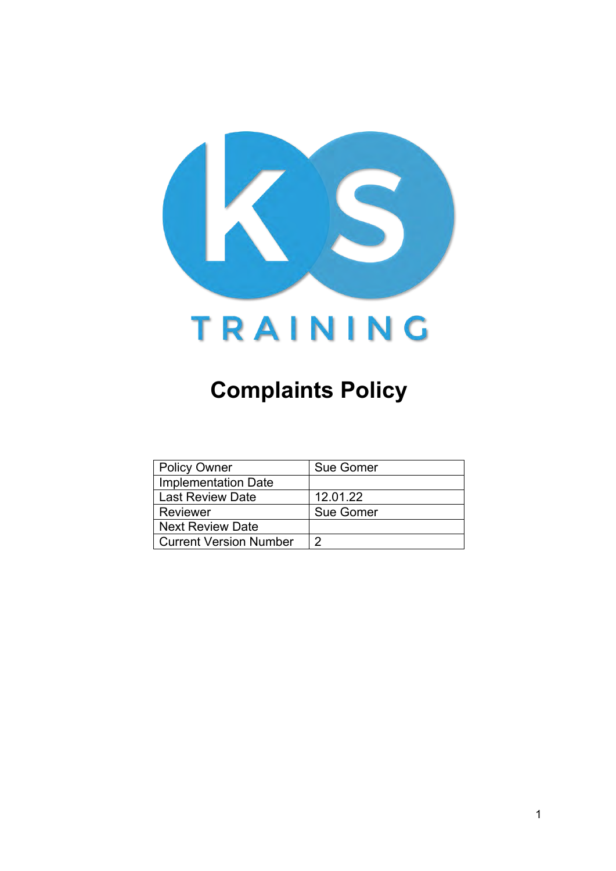

# **Complaints Policy**

| <b>Policy Owner</b>           | Sue Gomer |
|-------------------------------|-----------|
| <b>Implementation Date</b>    |           |
| Last Review Date              | 12.01.22  |
| Reviewer                      | Sue Gomer |
| <b>Next Review Date</b>       |           |
| <b>Current Version Number</b> |           |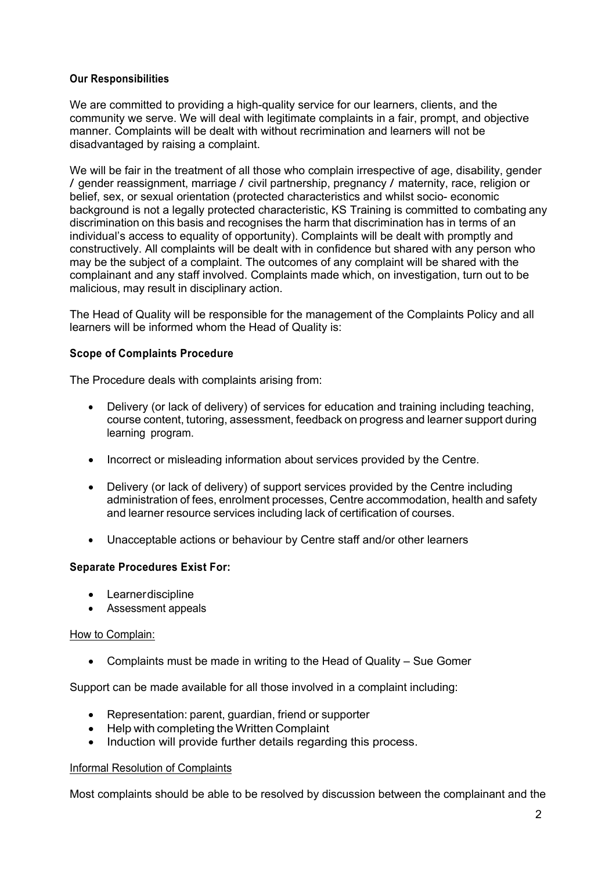#### **Our Responsibilities**

We are committed to providing a high-quality service for our learners, clients, and the community we serve. We will deal with legitimate complaints in a fair, prompt, and objective manner. Complaints will be dealt with without recrimination and learners will not be disadvantaged by raising a complaint.

We will be fair in the treatment of all those who complain irrespective of age, disability, gender / gender reassignment, marriage / civil partnership, pregnancy / maternity, race, religion or belief, sex, or sexual orientation (protected characteristics and whilst socio- economic background is not a legally protected characteristic, KS Training is committed to combating any discrimination on this basis and recognises the harm that discrimination has in terms of an individual's access to equality of opportunity). Complaints will be dealt with promptly and constructively. All complaints will be dealt with in confidence but shared with any person who may be the subject of a complaint. The outcomes of any complaint will be shared with the complainant and any staff involved. Complaints made which, on investigation, turn out to be malicious, may result in disciplinary action.

The Head of Quality will be responsible for the management of the Complaints Policy and all learners will be informed whom the Head of Quality is:

## **Scope of Complaints Procedure**

The Procedure deals with complaints arising from:

- Delivery (or lack of delivery) of services for education and training including teaching, course content, tutoring, assessment, feedback on progress and learner support during learning program.
- Incorrect or misleading information about services provided by the Centre.
- Delivery (or lack of delivery) of support services provided by the Centre including administration of fees, enrolment processes, Centre accommodation, health and safety and learner resource services including lack of certification of courses.
- Unacceptable actions or behaviour by Centre staff and/or other learners

#### **Separate Procedures Exist For:**

- Learnerdiscipline
- Assessment appeals

#### How to Complain:

• Complaints must be made in writing to the Head of Quality – Sue Gomer

Support can be made available for all those involved in a complaint including:

- Representation: parent, guardian, friend or supporter
- Help with completing the Written Complaint
- Induction will provide further details regarding this process.

#### Informal Resolution of Complaints

Most complaints should be able to be resolved by discussion between the complainant and the